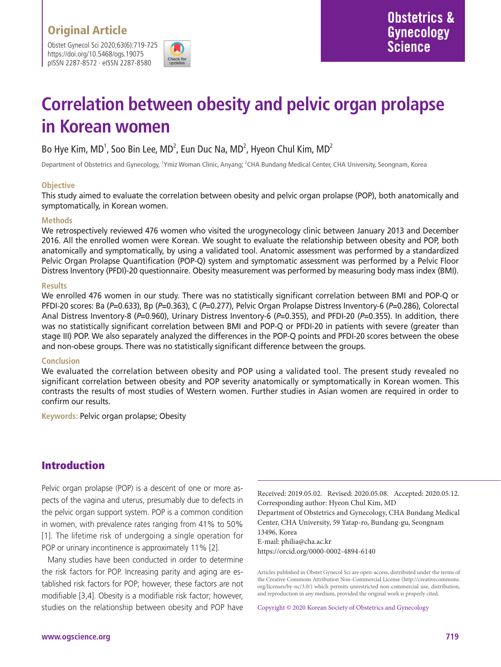Obstet Gynecol Sci 2020;63(6):719-725 https://doi.org/10.5468/ogs.19075 pISSN 2287-8572 · eISSN 2287-8580



# **Correlation between obesity and pelvic organ prolapse in Korean women**

Bo Hye Kim, MD $^1$ , Soo Bin Lee, MD $^2$ , Eun Duc Na, MD $^2$ , Hyeon Chul Kim, MD $^2$ 

Department of Obstetrics and Gynecology, <sup>1</sup>Ymiz Woman Clinic, Anyang; <sup>2</sup>CHA Bundang Medical Center, CHA University, Seongnam, Korea

### **Objective**

This study aimed to evaluate the correlation between obesity and pelvic organ prolapse (POP), both anatomically and symptomatically, in Korean women.

#### **Methods**

We retrospectively reviewed 476 women who visited the urogynecology clinic between January 2013 and December 2016. All the enrolled women were Korean. We sought to evaluate the relationship between obesity and POP, both anatomically and symptomatically, by using a validated tool. Anatomic assessment was performed by a standardized Pelvic Organ Prolapse Quantification (POP-Q) system and symptomatic assessment was performed by a Pelvic Floor Distress Inventory (PFDI)-20 questionnaire. Obesity measurement was performed by measuring body mass index (BMI).

#### **Results**

We enrolled 476 women in our study. There was no statistically significant correlation between BMI and POP-Q or PFDI-20 scores: Ba (*P*=0.633), Bp (*P*=0.363), C (*P*=0.277), Pelvic Organ Prolapse Distress Inventory-6 (*P*=0.286), Colorectal Anal Distress Inventory-8 (*P*=0.960), Urinary Distress Inventory-6 (*P*=0.355), and PFDI-20 (*P*=0.355). In addition, there was no statistically significant correlation between BMI and POP-Q or PFDI-20 in patients with severe (greater than stage III) POP. We also separately analyzed the differences in the POP-Q points and PFDI-20 scores between the obese and non-obese groups. There was no statistically significant difference between the groups.

#### **Conclusion**

We evaluated the correlation between obesity and POP using a validated tool. The present study revealed no significant correlation between obesity and POP severity anatomically or symptomatically in Korean women. This contrasts the results of most studies of Western women. Further studies in Asian women are required in order to confirm our results.

**Keywords:** Pelvic organ prolapse; Obesity

### Introduction

Pelvic organ prolapse (POP) is a descent of one or more aspects of the vagina and uterus, presumably due to defects in the pelvic organ support system. POP is a common condition in women, with prevalence rates ranging from 41% to 50% [1]. The lifetime risk of undergoing a single operation for POP or urinary incontinence is approximately 11% [2].

Many studies have been conducted in order to determine the risk factors for POP. Increasing parity and aging are established risk factors for POP; however, these factors are not modifiable [3,4]. Obesity is a modifiable risk factor; however, studies on the relationship between obesity and POP have

Received: 2019.05.02. Revised: 2020.05.08. Accepted: 2020.05.12. Corresponding author: Hyeon Chul Kim, MD Department of Obstetrics and Gynecology, CHA Bundang Medical Center, CHA University, 59 Yatap-ro, Bundang-gu, Seongnam 13496, Korea E-mail: philia@cha.ac.kr https://orcid.org/0000-0002-4894-6140

Articles published in Obstet Gynecol Sci are open-access, distributed under the terms of the Creative Commons Attribution Non-Commercial License (http://creativecommons. org/licenses/by-nc/3.0/) which permits unrestricted non-commercial use, distribution, and reproduction in any medium, provided the original work is properly cited.

Copyright © 2020 Korean Society of Obstetrics and Gynecology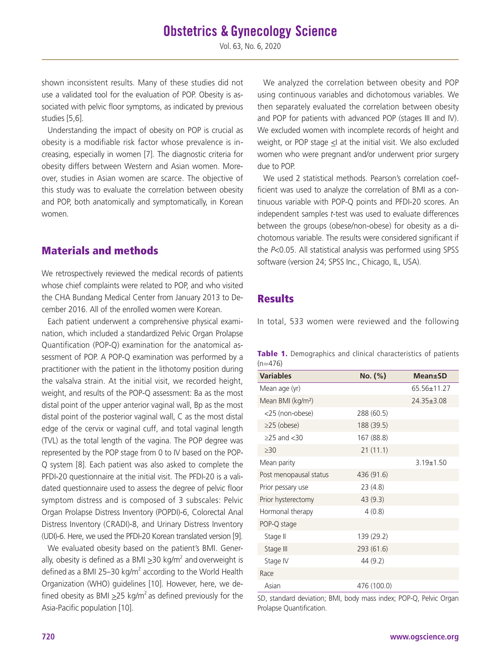Vol. 63, No. 6, 2020

shown inconsistent results. Many of these studies did not use a validated tool for the evaluation of POP. Obesity is associated with pelvic floor symptoms, as indicated by previous studies [5,6].

Understanding the impact of obesity on POP is crucial as obesity is a modifiable risk factor whose prevalence is increasing, especially in women [7]. The diagnostic criteria for obesity differs between Western and Asian women. Moreover, studies in Asian women are scarce. The objective of this study was to evaluate the correlation between obesity and POP, both anatomically and symptomatically, in Korean women.

### Materials and methods

We retrospectively reviewed the medical records of patients whose chief complaints were related to POP, and who visited the CHA Bundang Medical Center from January 2013 to December 2016. All of the enrolled women were Korean.

Each patient underwent a comprehensive physical examination, which included a standardized Pelvic Organ Prolapse Quantification (POP-Q) examination for the anatomical assessment of POP. A POP-Q examination was performed by a practitioner with the patient in the lithotomy position during the valsalva strain. At the initial visit, we recorded height, weight, and results of the POP-Q assessment: Ba as the most distal point of the upper anterior vaginal wall, Bp as the most distal point of the posterior vaginal wall, C as the most distal edge of the cervix or vaginal cuff, and total vaginal length (TVL) as the total length of the vagina. The POP degree was represented by the POP stage from 0 to IV based on the POP-Q system [8]. Each patient was also asked to complete the PFDI-20 questionnaire at the initial visit. The PFDI-20 is a validated questionnaire used to assess the degree of pelvic floor symptom distress and is composed of 3 subscales: Pelvic Organ Prolapse Distress Inventory (POPDI)-6, Colorectal Anal Distress Inventory (CRADI)-8, and Urinary Distress Inventory (UDI)-6. Here, we used the PFDI-20 Korean translated version [9].

We evaluated obesity based on the patient's BMI. Generally, obesity is defined as a BMI  $\geq$ 30 kg/m<sup>2</sup> and overweight is defined as a BMI 25–30 kg/m<sup>2</sup> according to the World Health Organization (WHO) guidelines [10]. However, here, we defined obesity as BMI  $\geq$ 25 kg/m<sup>2</sup> as defined previously for the Asia-Pacific population [10].

We analyzed the correlation between obesity and POP using continuous variables and dichotomous variables. We then separately evaluated the correlation between obesity and POP for patients with advanced POP (stages III and IV). We excluded women with incomplete records of height and weight, or POP stage <I at the initial visit. We also excluded women who were pregnant and/or underwent prior surgery due to POP.

We used 2 statistical methods. Pearson's correlation coefficient was used to analyze the correlation of BMI as a continuous variable with POP-Q points and PFDI-20 scores. An independent samples *t*-test was used to evaluate differences between the groups (obese/non-obese) for obesity as a dichotomous variable. The results were considered significant if the *P*<0.05. All statistical analysis was performed using SPSS software (version 24; SPSS Inc., Chicago, IL, USA).

### **Results**

In total, 533 women were reviewed and the following

|           |  |  | Table 1. Demographics and clinical characteristics of patients |  |
|-----------|--|--|----------------------------------------------------------------|--|
| $(n=476)$ |  |  |                                                                |  |

| <b>Variables</b>              | No. (%)     | <b>Mean</b> ±SD |
|-------------------------------|-------------|-----------------|
| Mean age (yr)                 |             | 65.56±11.27     |
| Mean BMI (kg/m <sup>2</sup> ) |             | 24.35±3.08      |
| <25 (non-obese)               | 288 (60.5)  |                 |
| $\geq$ 25 (obese)             | 188 (39.5)  |                 |
| $\geq$ 25 and $\lt$ 30        | 167 (88.8)  |                 |
| $\geq 30$                     | 21(11.1)    |                 |
| Mean parity                   |             | $3.19 \pm 1.50$ |
| Post menopausal status        | 436 (91.6)  |                 |
| Prior pessary use             | 23(4.8)     |                 |
| Prior hysterectomy            | 43(9.3)     |                 |
| Hormonal therapy              | 4(0.8)      |                 |
| POP-Q stage                   |             |                 |
| Stage II                      | 139 (29.2)  |                 |
| Stage III                     | 293 (61.6)  |                 |
| Stage IV                      | 44 (9.2)    |                 |
| Race                          |             |                 |
| Asian                         | 476 (100.0) |                 |

SD, standard deviation; BMI, body mass index; POP-Q, Pelvic Organ Prolapse Quantification.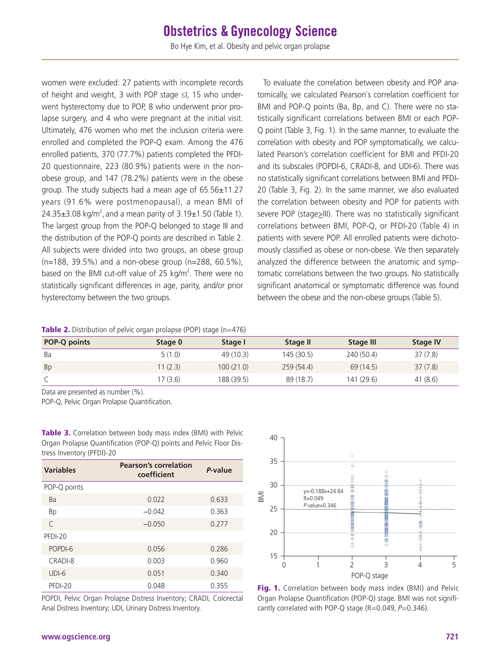## **Obstetrics & Gynecology Science**

Bo Hye Kim, et al. Obesity and pelvic organ prolapse

women were excluded: 27 patients with incomplete records of height and weight, 3 with POP stage ≤I, 15 who underwent hysterectomy due to POP, 8 who underwent prior prolapse surgery, and 4 who were pregnant at the initial visit. Ultimately, 476 women who met the inclusion criteria were enrolled and completed the POP-Q exam. Among the 476 enrolled patients, 370 (77.7%) patients completed the PFDI-20 questionnaire, 223 (80.9%) patients were in the nonobese group, and 147 (78.2%) patients were in the obese group. The study subjects had a mean age of 65.56±11.27 years (91.6% were postmenopausal), a mean BMI of  $24.35\pm3.08$  kg/m<sup>2</sup>, and a mean parity of  $3.19\pm1.50$  (Table 1). The largest group from the POP-Q belonged to stage III and the distribution of the POP-Q points are described in Table 2. All subjects were divided into two groups, an obese group (n=188, 39.5%) and a non-obese group (n=288, 60.5%), based on the BMI cut-off value of 25 kg/m<sup>2</sup>. There were no statistically significant differences in age, parity, and/or prior hysterectomy between the two groups.

To evaluate the correlation between obesity and POP anatomically, we calculated Pearson`s correlation coefficient for BMI and POP-Q points (Ba, Bp, and C). There were no statistically significant correlations between BMI or each POP-Q point (Table 3, Fig. 1). In the same manner, to evaluate the correlation with obesity and POP symptomatically, we calculated Pearson's correlation coefficient for BMI and PFDI-20 and its subscales (POPDI-6, CRADI-8, and UDI-6). There was no statistically significant correlations between BMI and PFDI-20 (Table 3, Fig. 2). In the same manner, we also evaluated the correlation between obesity and POP for patients with severe POP (stage>III). There was no statistically significant correlations between BMI, POP-Q, or PFDI-20 (Table 4) in patients with severe POP. All enrolled patients were dichotomously classified as obese or non-obese. We then separately analyzed the difference between the anatomic and symptomatic correlations between the two groups. No statistically significant anatomical or symptomatic difference was found between the obese and the non-obese groups (Table 5).

Table 2. Distribution of pelvic organ prolapse (POP) stage (n=476)

| <b>POP-Q points</b> | Stage 0  | Stage I    | Stage II  | <b>Stage III</b> | <b>Stage IV</b> |
|---------------------|----------|------------|-----------|------------------|-----------------|
| Ba                  | 5(1.0)   | 49 (10.3)  | 145(30.5) | 240 (50.4)       | 37(7.8)         |
| <b>Bp</b>           | 11(2.3)  | 100(21.0)  | 259(54.4) | 69 (14.5)        | 37(7.8)         |
|                     | 17 (3.6) | 188 (39.5) | 89(18.7)  | 141(29.6)        | 41(8.6)         |

Data are presented as number (%).

POP-Q, Pelvic Organ Prolapse Quantification.

| tress Inventory (PFDI)-20 |                                             |         |  |  |
|---------------------------|---------------------------------------------|---------|--|--|
| <b>Variables</b>          | <b>Pearson's correlation</b><br>coefficient | P-value |  |  |
| POP-Q points              |                                             |         |  |  |
| Ba                        | 0.022                                       | 0.633   |  |  |
| Bp                        | $-0.042$                                    | 0.363   |  |  |
| $\subset$                 | $-0.050$                                    | 0.277   |  |  |
| PFDI-20                   |                                             |         |  |  |
| POPDI-6                   | 0.056                                       | 0.286   |  |  |
| CRADI-8                   | 0.003                                       | 0.960   |  |  |
| $UDI-6$                   | 0.051                                       | 0.340   |  |  |
| PFDI-20                   | 0.048                                       | 0.355   |  |  |
|                           |                                             |         |  |  |

Table 3. Correlation between body mass index (BMI) with Pelvic Organ Prolapse Quantification (POP-Q) points and Pelvic Floor Dis-

POPDI, Pelvic Organ Prolapse Distress Inventory; CRADI, Colorectal Anal Distress Inventory; UDI, Urinary Distress Inventory.



Fig. 1. Correlation between body mass index (BMI) and Pelvic Organ Prolapse Quantification (POP-Q) stage. BMI was not signifi-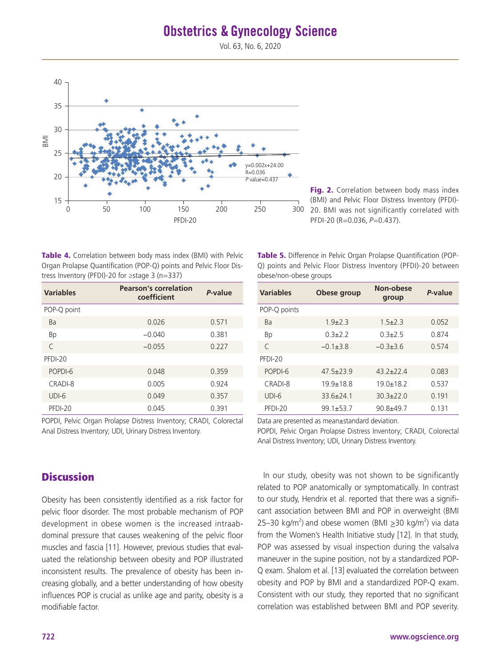## **Obstetrics & Gynecology Science**

Vol. 63, No. 6, 2020



Fig. 2. Correlation between body mass index (BMI) and Pelvic Floor Distress Inventory (PFDI)- 20. BMI was not significantly correlated with PFDI-20 (R=0.036, P=0.437).

Table 4. Correlation between body mass index (BMI) with Pelvic Organ Prolapse Quantification (POP-Q) points and Pelvic Floor Distress Inventory (PFDI)-20 for ≥stage 3 (n=337)

| <b>Variables</b> | <b>Pearson's correlation</b><br>coefficient | P-value |
|------------------|---------------------------------------------|---------|
| POP-Q point      |                                             |         |
| Ba               | 0.026                                       | 0.571   |
| Bp               | $-0.040$                                    | 0.381   |
| $\subset$        | $-0.055$                                    | 0.227   |
| PFDI-20          |                                             |         |
| POPDI-6          | 0.048                                       | 0.359   |
| CRADI-8          | 0.005                                       | 0.924   |
| $UDI-6$          | 0.049                                       | 0.357   |
| PFDI-20          | 0.045                                       | 0 391   |

POPDI, Pelvic Organ Prolapse Distress Inventory; CRADI, Colorectal Anal Distress Inventory; UDI, Urinary Distress Inventory.

### **Discussion**

Obesity has been consistently identified as a risk factor for pelvic floor disorder. The most probable mechanism of POP development in obese women is the increased intraabdominal pressure that causes weakening of the pelvic floor muscles and fascia [11]. However, previous studies that evaluated the relationship between obesity and POP illustrated inconsistent results. The prevalence of obesity has been increasing globally, and a better understanding of how obesity influences POP is crucial as unlike age and parity, obesity is a modifiable factor.

Table 5. Difference in Pelvic Organ Prolapse Quantification (POP-Q) points and Pelvic Floor Distress Inventory (PFDI)-20 between obese/non-obese groups

| <b>Variables</b> | Obese group     | Non-obese<br>group | P-value |
|------------------|-----------------|--------------------|---------|
| POP-Q points     |                 |                    |         |
| Ba               | $1.9{\pm}2.3$   | $1.5 \pm 2.3$      | 0.052   |
| <b>Bp</b>        | $0.3+2.2$       | $0.3+2.5$          | 0.874   |
| $\subset$        | $-0.1+3.8$      | $-0.3+3.6$         | 0.574   |
| PFDI-20          |                 |                    |         |
| POPDI-6          | $47.5 \pm 23.9$ | $432+724$          | 0.083   |
| CRADI-8          | $199+188$       | $190+182$          | 0.537   |
| $UDI-6$          | $336+741$       | $303+220$          | 0.191   |
| PFDI-20          | $991 + 537$     | $908+497$          | 0 1 3 1 |

Data are presented as mean±standard deviation.

POPDI, Pelvic Organ Prolapse Distress Inventory; CRADI, Colorectal Anal Distress Inventory; UDI, Urinary Distress Inventory.

In our study, obesity was not shown to be significantly related to POP anatomically or symptomatically. In contrast to our study, Hendrix et al. reported that there was a significant association between BMI and POP in overweight (BMI 25–30 kg/m<sup>2</sup>) and obese women (BMI  $\geq$ 30 kg/m<sup>2</sup>) via data from the Women's Health Initiative study [12]. In that study, POP was assessed by visual inspection during the valsalva maneuver in the supine position, not by a standardized POP-Q exam. Shalom et al. [13] evaluated the correlation between obesity and POP by BMI and a standardized POP-Q exam. Consistent with our study, they reported that no significant correlation was established between BMI and POP severity.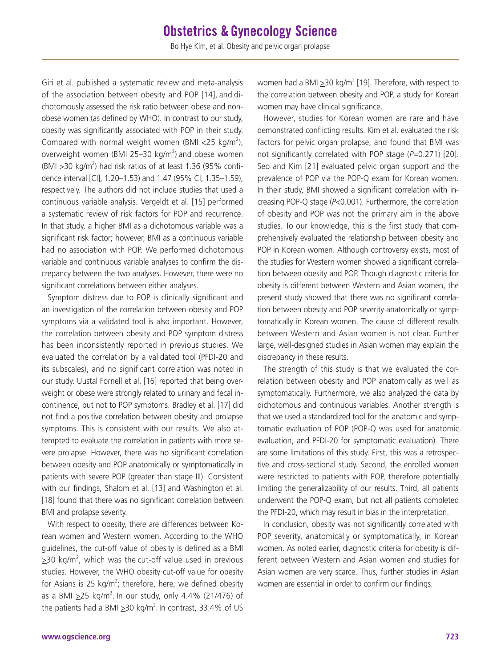Giri et al. published a systematic review and meta-analysis of the association between obesity and POP [14], and dichotomously assessed the risk ratio between obese and nonobese women (as defined by WHO). In contrast to our study, obesity was significantly associated with POP in their study. Compared with normal weight women (BMI <25 kg/m<sup>2</sup>), overweight women (BMI 25–30 kg/m<sup>2</sup>) and obese women (BMI  $\geq$ 30 kg/m<sup>2</sup>) had risk ratios of at least 1.36 (95% confidence interval [CI], 1.20–1.53) and 1.47 (95% CI, 1.35–1.59), respectively. The authors did not include studies that used a continuous variable analysis. Vergeldt et al. [15] performed a systematic review of risk factors for POP and recurrence. In that study, a higher BMI as a dichotomous variable was a significant risk factor; however, BMI as a continuous variable had no association with POP. We performed dichotomous variable and continuous variable analyses to confirm the discrepancy between the two analyses. However, there were no significant correlations between either analyses.

Symptom distress due to POP is clinically significant and an investigation of the correlation between obesity and POP symptoms via a validated tool is also important. However, the correlation between obesity and POP symptom distress has been inconsistently reported in previous studies. We evaluated the correlation by a validated tool (PFDI-20 and its subscales), and no significant correlation was noted in our study. Uustal Fornell et al. [16] reported that being overweight or obese were strongly related to urinary and fecal incontinence, but not to POP symptoms. Bradley et al. [17] did not find a positive correlation between obesity and prolapse symptoms. This is consistent with our results. We also attempted to evaluate the correlation in patients with more severe prolapse. However, there was no significant correlation between obesity and POP anatomically or symptomatically in patients with severe POP (greater than stage III). Consistent with our findings, Shalom et al. [13] and Washington et al. [18] found that there was no significant correlation between BMI and prolapse severity.

With respect to obesity, there are differences between Korean women and Western women. According to the WHO guidelines, the cut-off value of obesity is defined as a BMI  $\geq$ 30 kg/m<sup>2</sup>, which was the cut-off value used in previous studies. However, the WHO obesity cut-off value for obesity for Asians is 25 kg/m<sup>2</sup>; therefore, here, we defined obesity as a BMI  $\geq$ 25 kg/m<sup>2</sup>. In our study, only 4.4% (21/476) of the patients had a BMI  $\geq$ 30 kg/m<sup>2</sup>. In contrast, 33.4% of US

women had a BMI  $\geq$ 30 kg/m<sup>2</sup> [19]. Therefore, with respect to the correlation between obesity and POP, a study for Korean women may have clinical significance.

However, studies for Korean women are rare and have demonstrated conflicting results. Kim et al. evaluated the risk factors for pelvic organ prolapse, and found that BMI was not significantly correlated with POP stage (*P*=0.271) [20]. Seo and Kim [21] evaluated pelvic organ support and the prevalence of POP via the POP-Q exam for Korean women. In their study, BMI showed a significant correlation with increasing POP-Q stage (*P*<0.001). Furthermore, the correlation of obesity and POP was not the primary aim in the above studies. To our knowledge, this is the first study that comprehensively evaluated the relationship between obesity and POP in Korean women. Although controversy exists, most of the studies for Western women showed a significant correlation between obesity and POP. Though diagnostic criteria for obesity is different between Western and Asian women, the present study showed that there was no significant correlation between obesity and POP severity anatomically or symptomatically in Korean women. The cause of different results between Western and Asian women is not clear. Further large, well-designed studies in Asian women may explain the discrepancy in these results.

The strength of this study is that we evaluated the correlation between obesity and POP anatomically as well as symptomatically. Furthermore, we also analyzed the data by dichotomous and continuous variables. Another strength is that we used a standardized tool for the anatomic and symptomatic evaluation of POP (POP-Q was used for anatomic evaluation, and PFDI-20 for symptomatic evaluation). There are some limitations of this study. First, this was a retrospective and cross-sectional study. Second, the enrolled women were restricted to patients with POP, therefore potentially limiting the generalizability of our results. Third, all patients underwent the POP-Q exam, but not all patients completed the PFDI-20, which may result in bias in the interpretation.

In conclusion, obesity was not significantly correlated with POP severity, anatomically or symptomatically, in Korean women. As noted earlier, diagnostic criteria for obesity is different between Western and Asian women and studies for Asian women are very scarce. Thus, further studies in Asian women are essential in order to confirm our findings.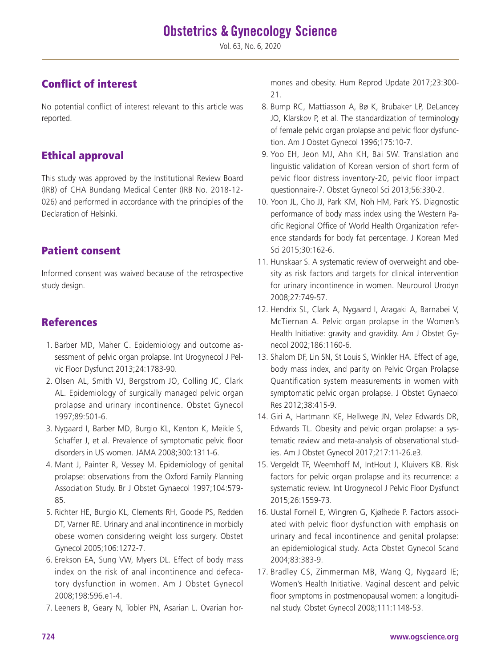Vol. 63, No. 6, 2020

## Conflict of interest

No potential conflict of interest relevant to this article was reported.

### Ethical approval

This study was approved by the Institutional Review Board (IRB) of CHA Bundang Medical Center (IRB No. 2018-12- 026) and performed in accordance with the principles of the Declaration of Helsinki.

### Patient consent

Informed consent was waived because of the retrospective study design.

### References

- 1. Barber MD, Maher C. Epidemiology and outcome assessment of pelvic organ prolapse. Int Urogynecol J Pelvic Floor Dysfunct 2013;24:1783-90.
- 2. Olsen AL, Smith VJ, Bergstrom JO, Colling JC, Clark AL. Epidemiology of surgically managed pelvic organ prolapse and urinary incontinence. Obstet Gynecol 1997;89:501-6.
- 3. Nygaard I, Barber MD, Burgio KL, Kenton K, Meikle S, Schaffer J, et al. Prevalence of symptomatic pelvic floor disorders in US women. JAMA 2008;300:1311-6.
- 4. Mant J, Painter R, Vessey M. Epidemiology of genital prolapse: observations from the Oxford Family Planning Association Study. Br J Obstet Gynaecol 1997;104:579- 85.
- 5. Richter HE, Burgio KL, Clements RH, Goode PS, Redden DT, Varner RE. Urinary and anal incontinence in morbidly obese women considering weight loss surgery. Obstet Gynecol 2005;106:1272-7.
- 6. Erekson EA, Sung VW, Myers DL. Effect of body mass index on the risk of anal incontinence and defecatory dysfunction in women. Am J Obstet Gynecol 2008;198:596.e1-4.
- 7. Leeners B, Geary N, Tobler PN, Asarian L. Ovarian hor-

mones and obesity. Hum Reprod Update 2017;23:300- 21.

- 8. Bump RC, Mattiasson A, Bø K, Brubaker LP, DeLancey JO, Klarskov P, et al. The standardization of terminology of female pelvic organ prolapse and pelvic floor dysfunction. Am J Obstet Gynecol 1996;175:10-7.
- 9. Yoo EH, Jeon MJ, Ahn KH, Bai SW. Translation and linguistic validation of Korean version of short form of pelvic floor distress inventory-20, pelvic floor impact questionnaire-7. Obstet Gynecol Sci 2013;56:330-2.
- 10. Yoon JL, Cho JJ, Park KM, Noh HM, Park YS. Diagnostic performance of body mass index using the Western Pacific Regional Office of World Health Organization reference standards for body fat percentage. J Korean Med Sci 2015;30:162-6.
- 11. Hunskaar S. A systematic review of overweight and obesity as risk factors and targets for clinical intervention for urinary incontinence in women. Neurourol Urodyn 2008;27:749-57.
- 12. Hendrix SL, Clark A, Nygaard I, Aragaki A, Barnabei V, McTiernan A. Pelvic organ prolapse in the Women's Health Initiative: gravity and gravidity. Am J Obstet Gynecol 2002;186:1160-6.
- 13. Shalom DF, Lin SN, St Louis S, Winkler HA. Effect of age, body mass index, and parity on Pelvic Organ Prolapse Quantification system measurements in women with symptomatic pelvic organ prolapse. J Obstet Gynaecol Res 2012;38:415-9.
- 14. Giri A, Hartmann KE, Hellwege JN, Velez Edwards DR, Edwards TL. Obesity and pelvic organ prolapse: a systematic review and meta-analysis of observational studies. Am J Obstet Gynecol 2017;217:11-26.e3.
- 15. Vergeldt TF, Weemhoff M, IntHout J, Kluivers KB. Risk factors for pelvic organ prolapse and its recurrence: a systematic review. Int Urogynecol J Pelvic Floor Dysfunct 2015;26:1559-73.
- 16. Uustal Fornell E, Wingren G, Kjølhede P. Factors associated with pelvic floor dysfunction with emphasis on urinary and fecal incontinence and genital prolapse: an epidemiological study. Acta Obstet Gynecol Scand 2004;83:383-9.
- 17. Bradley CS, Zimmerman MB, Wang Q, Nygaard IE; Women's Health Initiative. Vaginal descent and pelvic floor symptoms in postmenopausal women: a longitudinal study. Obstet Gynecol 2008;111:1148-53.